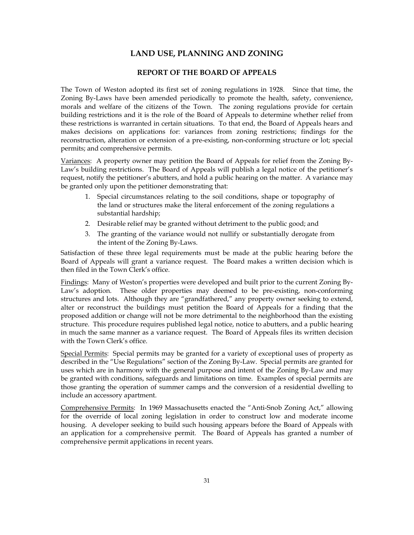# **LAND USE, PLANNING AND ZONING**

# **REPORT OF THE BOARD OF APPEALS**

The Town of Weston adopted its first set of zoning regulations in 1928. Since that time, the Zoning By-Laws have been amended periodically to promote the health, safety, convenience, morals and welfare of the citizens of the Town. The zoning regulations provide for certain building restrictions and it is the role of the Board of Appeals to determine whether relief from these restrictions is warranted in certain situations. To that end, the Board of Appeals hears and makes decisions on applications for: variances from zoning restrictions; findings for the reconstruction, alteration or extension of a pre-existing, non-conforming structure or lot; special permits; and comprehensive permits.

Variances: A property owner may petition the Board of Appeals for relief from the Zoning By-Law's building restrictions. The Board of Appeals will publish a legal notice of the petitioner's request, notify the petitioner's abutters, and hold a public hearing on the matter. A variance may be granted only upon the petitioner demonstrating that:

- 1. Special circumstances relating to the soil conditions, shape or topography of the land or structures make the literal enforcement of the zoning regulations a substantial hardship;
- 2. Desirable relief may be granted without detriment to the public good; and
- 3. The granting of the variance would not nullify or substantially derogate from the intent of the Zoning By-Laws.

Satisfaction of these three legal requirements must be made at the public hearing before the Board of Appeals will grant a variance request. The Board makes a written decision which is then filed in the Town Clerk's office.

Findings: Many of Weston's properties were developed and built prior to the current Zoning By-Law's adoption. These older properties may deemed to be pre-existing, non-conforming structures and lots. Although they are "grandfathered," any property owner seeking to extend, alter or reconstruct the buildings must petition the Board of Appeals for a finding that the proposed addition or change will not be more detrimental to the neighborhood than the existing structure. This procedure requires published legal notice, notice to abutters, and a public hearing in much the same manner as a variance request. The Board of Appeals files its written decision with the Town Clerk's office.

Special Permits: Special permits may be granted for a variety of exceptional uses of property as described in the "Use Regulations" section of the Zoning By-Law. Special permits are granted for uses which are in harmony with the general purpose and intent of the Zoning By-Law and may be granted with conditions, safeguards and limitations on time. Examples of special permits are those granting the operation of summer camps and the conversion of a residential dwelling to include an accessory apartment.

Comprehensive Permits: In 1969 Massachusetts enacted the "Anti-Snob Zoning Act," allowing for the override of local zoning legislation in order to construct low and moderate income housing. A developer seeking to build such housing appears before the Board of Appeals with an application for a comprehensive permit. The Board of Appeals has granted a number of comprehensive permit applications in recent years.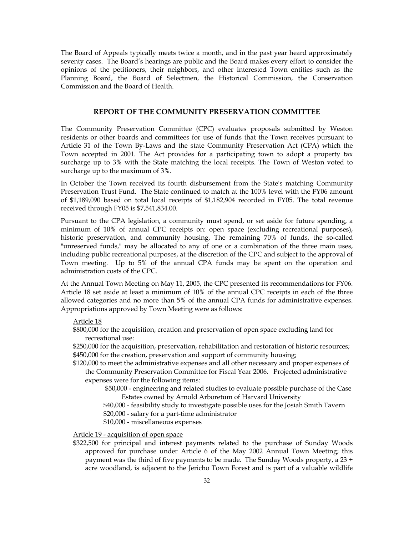The Board of Appeals typically meets twice a month, and in the past year heard approximately seventy cases. The Board's hearings are public and the Board makes every effort to consider the opinions of the petitioners, their neighbors, and other interested Town entities such as the Planning Board, the Board of Selectmen, the Historical Commission, the Conservation Commission and the Board of Health.

# **REPORT OF THE COMMUNITY PRESERVATION COMMITTEE**

The Community Preservation Committee (CPC) evaluates proposals submitted by Weston residents or other boards and committees for use of funds that the Town receives pursuant to Article 31 of the Town By-Laws and the state Community Preservation Act (CPA) which the Town accepted in 2001. The Act provides for a participating town to adopt a property tax surcharge up to 3% with the State matching the local receipts. The Town of Weston voted to surcharge up to the maximum of 3%.

In October the Town received its fourth disbursement from the State's matching Community Preservation Trust Fund. The State continued to match at the 100% level with the FY06 amount of \$1,189,090 based on total local receipts of \$1,182,904 recorded in FY05. The total revenue received through FY05 is \$7,541,834.00.

Pursuant to the CPA legislation, a community must spend, or set aside for future spending, a minimum of 10% of annual CPC receipts on: open space (excluding recreational purposes), historic preservation, and community housing, The remaining 70% of funds, the so-called "unreserved funds," may be allocated to any of one or a combination of the three main uses, including public recreational purposes, at the discretion of the CPC and subject to the approval of Town meeting. Up to 5% of the annual CPA funds may be spent on the operation and administration costs of the CPC.

At the Annual Town Meeting on May 11, 2005, the CPC presented its recommendations for FY06. Article 18 set aside at least a minimum of 10% of the annual CPC receipts in each of the three allowed categories and no more than 5% of the annual CPA funds for administrative expenses. Appropriations approved by Town Meeting were as follows:

# Article 18

- \$800,000 for the acquisition, creation and preservation of open space excluding land for recreational use:
- \$250,000 for the acquisition, preservation, rehabilitation and restoration of historic resources; \$450,000 for the creation, preservation and support of community housing;
- \$120,000 to meet the administrative expenses and all other necessary and proper expenses of the Community Preservation Committee for Fiscal Year 2006. Projected administrative expenses were for the following items:
	- \$50,000 engineering and related studies to evaluate possible purchase of the Case
	- Estates owned by Arnold Arboretum of Harvard University
	- \$40,000 feasibility study to investigate possible uses for the Josiah Smith Tavern
	- \$20,000 salary for a part-time administrator
	- \$10,000 miscellaneous expenses

Article 19 - acquisition of open space

\$322,500 for principal and interest payments related to the purchase of Sunday Woods approved for purchase under Article 6 of the May 2002 Annual Town Meeting; this payment was the third of five payments to be made. The Sunday Woods property, a 23 + acre woodland, is adjacent to the Jericho Town Forest and is part of a valuable wildlife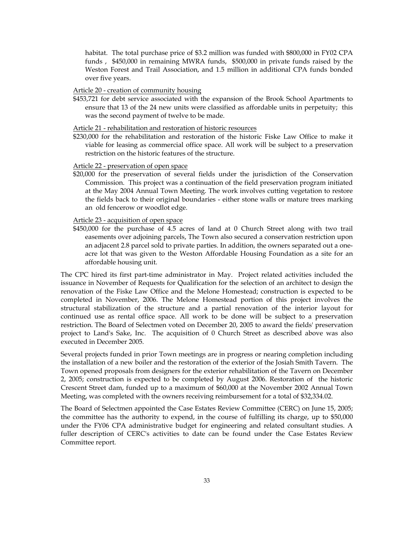habitat. The total purchase price of \$3.2 million was funded with \$800,000 in FY02 CPA funds , \$450,000 in remaining MWRA funds, \$500,000 in private funds raised by the Weston Forest and Trail Association, and 1.5 million in additional CPA funds bonded over five years.

#### Article 20 - creation of community housing

\$453,721 for debt service associated with the expansion of the Brook School Apartments to ensure that 13 of the 24 new units were classified as affordable units in perpetuity; this was the second payment of twelve to be made.

#### Article 21 - rehabilitation and restoration of historic resources

\$230,000 for the rehabilitation and restoration of the historic Fiske Law Office to make it viable for leasing as commercial office space. All work will be subject to a preservation restriction on the historic features of the structure.

#### Article 22 - preservation of open space

\$20,000 for the preservation of several fields under the jurisdiction of the Conservation Commission. This project was a continuation of the field preservation program initiated at the May 2004 Annual Town Meeting. The work involves cutting vegetation to restore the fields back to their original boundaries - either stone walls or mature trees marking an old fencerow or woodlot edge.

#### Article 23 - acquisition of open space

\$450,000 for the purchase of 4.5 acres of land at 0 Church Street along with two trail easements over adjoining parcels, The Town also secured a conservation restriction upon an adjacent 2.8 parcel sold to private parties. In addition, the owners separated out a oneacre lot that was given to the Weston Affordable Housing Foundation as a site for an affordable housing unit.

The CPC hired its first part-time administrator in May. Project related activities included the issuance in November of Requests for Qualification for the selection of an architect to design the renovation of the Fiske Law Office and the Melone Homestead; construction is expected to be completed in November, 2006. The Melone Homestead portion of this project involves the structural stabilization of the structure and a partial renovation of the interior layout for continued use as rental office space. All work to be done will be subject to a preservation restriction. The Board of Selectmen voted on December 20, 2005 to award the fields' preservation project to Land's Sake, Inc. The acquisition of 0 Church Street as described above was also executed in December 2005.

Several projects funded in prior Town meetings are in progress or nearing completion including the installation of a new boiler and the restoration of the exterior of the Josiah Smith Tavern. The Town opened proposals from designers for the exterior rehabilitation of the Tavern on December 2, 2005; construction is expected to be completed by August 2006. Restoration of the historic Crescent Street dam, funded up to a maximum of \$60,000 at the November 2002 Annual Town Meeting, was completed with the owners receiving reimbursement for a total of \$32,334.02.

The Board of Selectmen appointed the Case Estates Review Committee (CERC) on June 15, 2005; the committee has the authority to expend, in the course of fulfilling its charge, up to \$50,000 under the FY06 CPA administrative budget for engineering and related consultant studies. A fuller description of CERC's activities to date can be found under the Case Estates Review Committee report.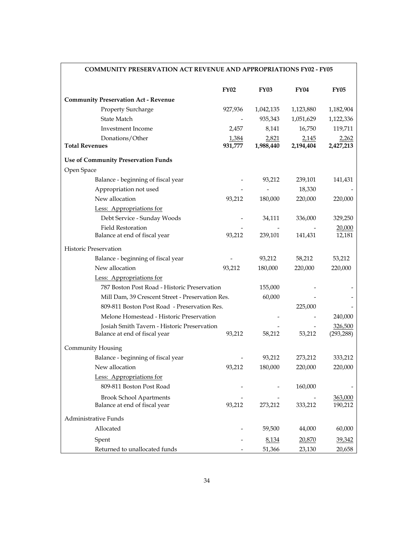| <b>COMMUNITY PRESERVATION ACT REVENUE AND APPROPRIATIONS FY02 - FY05</b> |             |             |             |             |
|--------------------------------------------------------------------------|-------------|-------------|-------------|-------------|
|                                                                          | <b>FY02</b> | <b>FY03</b> | <b>FY04</b> | <b>FY05</b> |
| <b>Community Preservation Act - Revenue</b>                              |             |             |             |             |
| Property Surcharge                                                       | 927,936     | 1,042,135   | 1,123,880   | 1,182,904   |
| State Match                                                              |             | 935,343     | 1,051,629   | 1,122,336   |
| Investment Income                                                        | 2,457       | 8,141       | 16,750      | 119,711     |
| Donations/Other                                                          | 1,384       | 2,821       | 2,145       | 2,262       |
| <b>Total Revenues</b>                                                    | 931,777     | 1,988,440   | 2,194,404   | 2,427,213   |
| <b>Use of Community Preservation Funds</b>                               |             |             |             |             |
| Open Space                                                               |             |             |             |             |
| Balance - beginning of fiscal year                                       |             | 93,212      | 239,101     | 141,431     |
| Appropriation not used                                                   |             |             | 18,330      |             |
| New allocation                                                           | 93,212      | 180,000     | 220,000     | 220,000     |
| Less: Appropriations for                                                 |             |             |             |             |
| Debt Service - Sunday Woods                                              |             | 34,111      | 336,000     | 329,250     |
| <b>Field Restoration</b>                                                 |             |             |             | 20,000      |
| Balance at end of fiscal year                                            | 93,212      | 239,101     | 141,431     | 12,181      |
| <b>Historic Preservation</b>                                             |             |             |             |             |
| Balance - beginning of fiscal year                                       |             | 93,212      | 58,212      | 53,212      |
| New allocation                                                           | 93,212      | 180,000     | 220,000     | 220,000     |
| Less: Appropriations for                                                 |             |             |             |             |
| 787 Boston Post Road - Historic Preservation                             |             | 155,000     |             |             |
| Mill Dam, 39 Crescent Street - Preservation Res.                         |             | 60,000      |             |             |
| 809-811 Boston Post Road - Preservation Res.                             |             |             | 225,000     |             |
| Melone Homestead - Historic Preservation                                 |             |             |             | 240,000     |
| Josiah Smith Tavern - Historic Preservation                              |             |             |             | 326,500     |
| Balance at end of fiscal year                                            | 93,212      | 58,212      | 53,212      | (293, 288)  |
| <b>Community Housing</b>                                                 |             |             |             |             |
| Balance - beginning of fiscal year                                       |             | 93,212      | 273,212     | 333,212     |
| New allocation                                                           | 93,212      | 180,000     | 220,000     | 220,000     |
| Less: Appropriations for                                                 |             |             |             |             |
| 809-811 Boston Post Road                                                 |             |             | 160,000     |             |
| <b>Brook School Apartments</b>                                           |             |             |             | 363,000     |
| Balance at end of fiscal year                                            | 93,212      | 273,212     | 333,212     | 190,212     |
| Administrative Funds                                                     |             |             |             |             |
| Allocated                                                                |             | 59,500      | 44,000      | 60,000      |
| Spent                                                                    |             | 8,134       | 20,870      | 39,342      |
| Returned to unallocated funds                                            |             | 51,366      | 23,130      | 20,658      |

# **COMMUNITY PRESERVATION ACT REVENUE AND APPROPRIATIONS FY02 - FY05**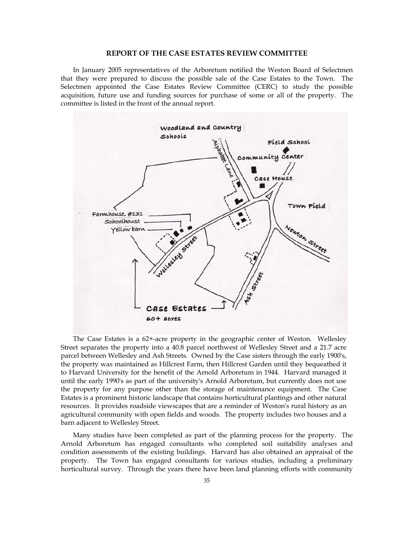#### **REPORT OF THE CASE ESTATES REVIEW COMMITTEE**

In January 2005 representatives of the Arboretum notified the Weston Board of Selectmen that they were prepared to discuss the possible sale of the Case Estates to the Town. The Selectmen appointed the Case Estates Review Committee (CERC) to study the possible acquisition, future use and funding sources for purchase of some or all of the property. The committee is listed in the front of the annual report.



The Case Estates is a 62+-acre property in the geographic center of Weston. Wellesley Street separates the property into a 40.8 parcel northwest of Wellesley Street and a 21.7 acre parcel between Wellesley and Ash Streets. Owned by the Case sisters through the early 1900's, the property was maintained as Hillcrest Farm, then Hillcrest Garden until they bequeathed it to Harvard University for the benefit of the Arnold Arboretum in 1944. Harvard managed it until the early 1990's as part of the university's Arnold Arboretum, but currently does not use the property for any purpose other than the storage of maintenance equipment. The Case Estates is a prominent historic landscape that contains horticultural plantings and other natural resources. It provides roadside viewscapes that are a reminder of Weston's rural history as an agricultural community with open fields and woods. The property includes two houses and a barn adjacent to Wellesley Street.

Many studies have been completed as part of the planning process for the property. The Arnold Arboretum has engaged consultants who completed soil suitability analyses and condition assessments of the existing buildings. Harvard has also obtained an appraisal of the property. The Town has engaged consultants for various studies, including a preliminary horticultural survey. Through the years there have been land planning efforts with community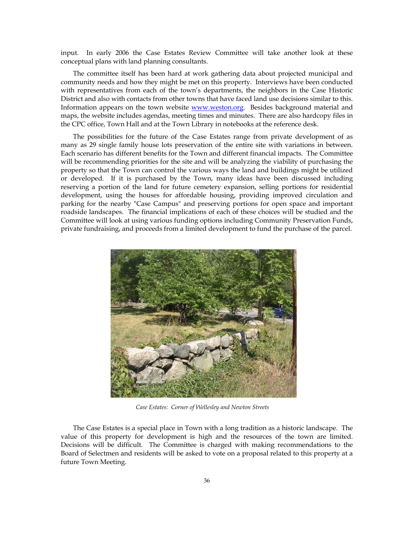input. In early 2006 the Case Estates Review Committee will take another look at these conceptual plans with land planning consultants.

The committee itself has been hard at work gathering data about projected municipal and community needs and how they might be met on this property. Interviews have been conducted with representatives from each of the town's departments, the neighbors in the Case Historic District and also with contacts from other towns that have faced land use decisions similar to this. Information appears on the town website www.weston.org. Besides background material and maps, the website includes agendas, meeting times and minutes. There are also hardcopy files in the CPC office, Town Hall and at the Town Library in notebooks at the reference desk.

The possibilities for the future of the Case Estates range from private development of as many as 29 single family house lots preservation of the entire site with variations in between. Each scenario has different benefits for the Town and different financial impacts. The Committee will be recommending priorities for the site and will be analyzing the viability of purchasing the property so that the Town can control the various ways the land and buildings might be utilized or developed. If it is purchased by the Town, many ideas have been discussed including reserving a portion of the land for future cemetery expansion, selling portions for residential development, using the houses for affordable housing, providing improved circulation and parking for the nearby "Case Campus" and preserving portions for open space and important roadside landscapes. The financial implications of each of these choices will be studied and the Committee will look at using various funding options including Community Preservation Funds, private fundraising, and proceeds from a limited development to fund the purchase of the parcel.



*Case Estates: Corner of Wellesley and Newton Streets*

The Case Estates is a special place in Town with a long tradition as a historic landscape. The value of this property for development is high and the resources of the town are limited. Decisions will be difficult. The Committee is charged with making recommendations to the Board of Selectmen and residents will be asked to vote on a proposal related to this property at a future Town Meeting.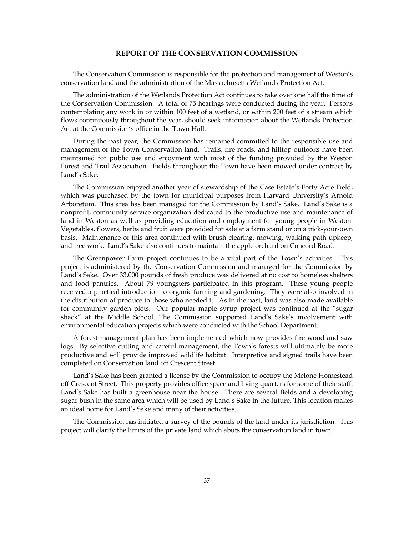### **REPORT OF THE CONSERVATION COMMISSION**

 The Conservation Commission is responsible for the protection and management of Weston's conservation land and the administration of the Massachusetts Wetlands Protection Act.

 The administration of the Wetlands Protection Act continues to take over one half the time of the Conservation Commission. A total of 75 hearings were conducted during the year. Persons contemplating any work in or within 100 feet of a wetland, or within 200 feet of a stream which flows continuously throughout the year, should seek information about the Wetlands Protection Act at the Commission's office in the Town Hall.

 During the past year, the Commission has remained committed to the responsible use and management of the Town Conservation land. Trails, fire roads, and hilltop outlooks have been maintained for public use and enjoyment with most of the funding provided by the Weston Forest and Trail Association. Fields throughout the Town have been mowed under contract by Land's Sake.

 The Commission enjoyed another year of stewardship of the Case Estate's Forty Acre Field, which was purchased by the town for municipal purposes from Harvard University's Arnold Arboretum. This area has been managed for the Commission by Land's Sake. Land's Sake is a nonprofit, community service organization dedicated to the productive use and maintenance of land in Weston as well as providing education and employment for young people in Weston. Vegetables, flowers, herbs and fruit were provided for sale at a farm stand or on a pick-your-own basis. Maintenance of this area continued with brush clearing, mowing, walking path upkeep, and tree work. Land's Sake also continues to maintain the apple orchard on Concord Road.

 The Greenpower Farm project continues to be a vital part of the Town's activities. This project is administered by the Conservation Commission and managed for the Commission by Land's Sake. Over 33,000 pounds of fresh produce was delivered at no cost to homeless shelters and food pantries. About 79 youngsters participated in this program. These young people received a practical introduction to organic farming and gardening. They were also involved in the distribution of produce to those who needed it. As in the past, land was also made available for community garden plots. Our popular maple syrup project was continued at the "sugar shack" at the Middle School. The Commission supported Land's Sake's involvement with environmental education projects which were conducted with the School Department.

 A forest management plan has been implemented which now provides fire wood and saw logs. By selective cutting and careful management, the Town's forests will ultimately be more productive and will provide improved wildlife habitat. Interpretive and signed trails have been completed on Conservation land off Crescent Street.

 Land's Sake has been granted a license by the Commission to occupy the Melone Homestead off Crescent Street. This property provides office space and living quarters for some of their staff. Land's Sake has built a greenhouse near the house. There are several fields and a developing sugar bush in the same area which will be used by Land's Sake in the future. This location makes an ideal home for Land's Sake and many of their activities.

 The Commission has initiated a survey of the bounds of the land under its jurisdiction. This project will clarify the limits of the private land which abuts the conservation land in town.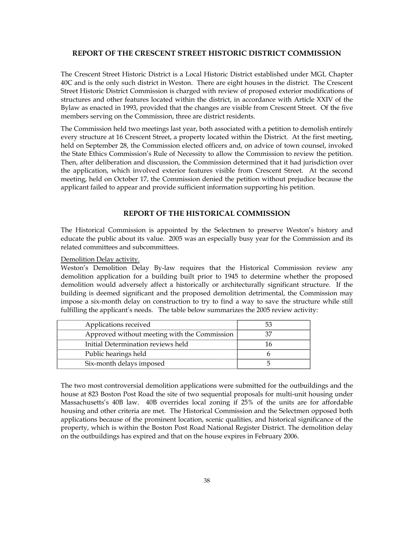### **REPORT OF THE CRESCENT STREET HISTORIC DISTRICT COMMISSION**

The Crescent Street Historic District is a Local Historic District established under MGL Chapter 40C and is the only such district in Weston. There are eight houses in the district. The Crescent Street Historic District Commission is charged with review of proposed exterior modifications of structures and other features located within the district, in accordance with Article XXIV of the Bylaw as enacted in 1993, provided that the changes are visible from Crescent Street. Of the five members serving on the Commission, three are district residents.

The Commission held two meetings last year, both associated with a petition to demolish entirely every structure at 16 Crescent Street, a property located within the District. At the first meeting, held on September 28, the Commission elected officers and, on advice of town counsel, invoked the State Ethics Commission's Rule of Necessity to allow the Commission to review the petition. Then, after deliberation and discussion, the Commission determined that it had jurisdiction over the application, which involved exterior features visible from Crescent Street. At the second meeting, held on October 17, the Commission denied the petition without prejudice because the applicant failed to appear and provide sufficient information supporting his petition.

### **REPORT OF THE HISTORICAL COMMISSION**

The Historical Commission is appointed by the Selectmen to preserve Weston's history and educate the public about its value. 2005 was an especially busy year for the Commission and its related committees and subcommittees.

#### Demolition Delay activity.

Weston's Demolition Delay By-law requires that the Historical Commission review any demolition application for a building built prior to 1945 to determine whether the proposed demolition would adversely affect a historically or architecturally significant structure. If the building is deemed significant and the proposed demolition detrimental, the Commission may impose a six-month delay on construction to try to find a way to save the structure while still fulfilling the applicant's needs. The table below summarizes the 2005 review activity:

| Applications received                        |  |
|----------------------------------------------|--|
| Approved without meeting with the Commission |  |
| Initial Determination reviews held           |  |
| Public hearings held                         |  |
| Six-month delays imposed                     |  |

The two most controversial demolition applications were submitted for the outbuildings and the house at 823 Boston Post Road the site of two sequential proposals for multi-unit housing under Massachusetts's 40B law. 40B overrides local zoning if 25% of the units are for affordable housing and other criteria are met. The Historical Commission and the Selectmen opposed both applications because of the prominent location, scenic qualities, and historical significance of the property, which is within the Boston Post Road National Register District. The demolition delay on the outbuildings has expired and that on the house expires in February 2006.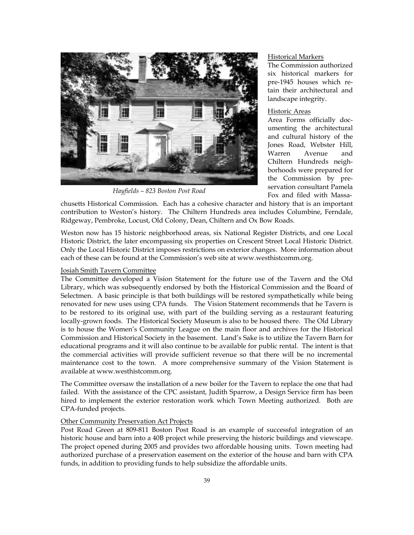

*Hayfields – 823 Boston Post Road* 

#### Historical Markers

The Commission authorized six historical markers for pre-1945 houses which retain their architectural and landscape integrity.

# Historic Areas

Area Forms officially documenting the architectural and cultural history of the Jones Road, Webster Hill, Warren Avenue and Chiltern Hundreds neighborhoods were prepared for the Commission by preservation consultant Pamela Fox and filed with Massa-

chusetts Historical Commission. Each has a cohesive character and history that is an important contribution to Weston's history. The Chiltern Hundreds area includes Columbine, Ferndale, Ridgeway, Pembroke, Locust, Old Colony, Dean, Chiltern and Ox Bow Roads.

Weston now has 15 historic neighborhood areas, six National Register Districts, and one Local Historic District, the later encompassing six properties on Crescent Street Local Historic District. Only the Local Historic District imposes restrictions on exterior changes. More information about each of these can be found at the Commission's web site at www.westhistcomm.org.

#### Josiah Smith Tavern Committee

The Committee developed a Vision Statement for the future use of the Tavern and the Old Library, which was subsequently endorsed by both the Historical Commission and the Board of Selectmen. A basic principle is that both buildings will be restored sympathetically while being renovated for new uses using CPA funds. The Vision Statement recommends that he Tavern is to be restored to its original use, with part of the building serving as a restaurant featuring locally-grown foods. The Historical Society Museum is also to be housed there. The Old Library is to house the Women's Community League on the main floor and archives for the Historical Commission and Historical Society in the basement. Land's Sake is to utilize the Tavern Barn for educational programs and it will also continue to be available for public rental. The intent is that the commercial activities will provide sufficient revenue so that there will be no incremental maintenance cost to the town. A more comprehensive summary of the Vision Statement is available at www.westhistcomm.org.

The Committee oversaw the installation of a new boiler for the Tavern to replace the one that had failed. With the assistance of the CPC assistant, Judith Sparrow, a Design Service firm has been hired to implement the exterior restoration work which Town Meeting authorized. Both are CPA-funded projects.

#### Other Community Preservation Act Projects

Post Road Green at 809-811 Boston Post Road is an example of successful integration of an historic house and barn into a 40B project while preserving the historic buildings and viewscape. The project opened during 2005 and provides two affordable housing units. Town meeting had authorized purchase of a preservation easement on the exterior of the house and barn with CPA funds, in addition to providing funds to help subsidize the affordable units.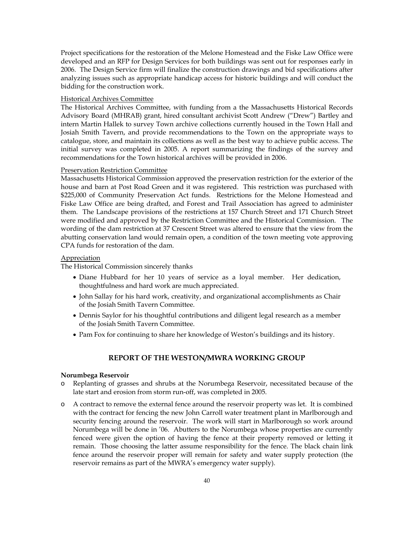Project specifications for the restoration of the Melone Homestead and the Fiske Law Office were developed and an RFP for Design Services for both buildings was sent out for responses early in 2006. The Design Service firm will finalize the construction drawings and bid specifications after analyzing issues such as appropriate handicap access for historic buildings and will conduct the bidding for the construction work.

#### Historical Archives Committee

The Historical Archives Committee, with funding from a the Massachusetts Historical Records Advisory Board (MHRAB) grant, hired consultant archivist Scott Andrew ("Drew") Bartley and intern Martin Hallek to survey Town archive collections currently housed in the Town Hall and Josiah Smith Tavern, and provide recommendations to the Town on the appropriate ways to catalogue, store, and maintain its collections as well as the best way to achieve public access. The initial survey was completed in 2005. A report summarizing the findings of the survey and recommendations for the Town historical archives will be provided in 2006.

#### Preservation Restriction Committee

Massachusetts Historical Commission approved the preservation restriction for the exterior of the house and barn at Post Road Green and it was registered. This restriction was purchased with \$225,000 of Community Preservation Act funds. Restrictions for the Melone Homestead and Fiske Law Office are being drafted, and Forest and Trail Association has agreed to administer them. The Landscape provisions of the restrictions at 157 Church Street and 171 Church Street were modified and approved by the Restriction Committee and the Historical Commission. The wording of the dam restriction at 37 Crescent Street was altered to ensure that the view from the abutting conservation land would remain open, a condition of the town meeting vote approving CPA funds for restoration of the dam.

#### Appreciation

The Historical Commission sincerely thanks

- Diane Hubbard for her 10 years of service as a loyal member. Her dedication, thoughtfulness and hard work are much appreciated.
- John Sallay for his hard work, creativity, and organizational accomplishments as Chair of the Josiah Smith Tavern Committee.
- Dennis Saylor for his thoughtful contributions and diligent legal research as a member of the Josiah Smith Tavern Committee.
- Pam Fox for continuing to share her knowledge of Weston's buildings and its history.

# **REPORT OF THE WESTON/MWRA WORKING GROUP**

#### **Norumbega Reservoir**

- o Replanting of grasses and shrubs at the Norumbega Reservoir, necessitated because of the late start and erosion from storm run-off, was completed in 2005.
- o A contract to remove the external fence around the reservoir property was let. It is combined with the contract for fencing the new John Carroll water treatment plant in Marlborough and security fencing around the reservoir. The work will start in Marlborough so work around Norumbega will be done in '06. Abutters to the Norumbega whose properties are currently fenced were given the option of having the fence at their property removed or letting it remain. Those choosing the latter assume responsibility for the fence. The black chain link fence around the reservoir proper will remain for safety and water supply protection (the reservoir remains as part of the MWRA's emergency water supply).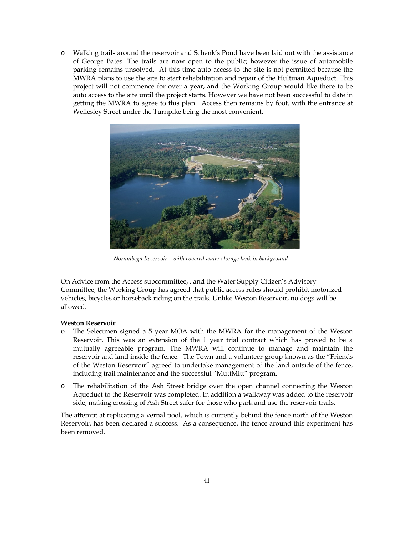o Walking trails around the reservoir and Schenk's Pond have been laid out with the assistance of George Bates. The trails are now open to the public; however the issue of automobile parking remains unsolved. At this time auto access to the site is not permitted because the MWRA plans to use the site to start rehabilitation and repair of the Hultman Aqueduct. This project will not commence for over a year, and the Working Group would like there to be auto access to the site until the project starts. However we have not been successful to date in getting the MWRA to agree to this plan. Access then remains by foot, with the entrance at Wellesley Street under the Turnpike being the most convenient.



*Norumbega Reservoir – with covered water storage tank in background*

On Advice from the Access subcommittee, , and the Water Supply Citizen's Advisory Committee, the Working Group has agreed that public access rules should prohibit motorized vehicles, bicycles or horseback riding on the trails. Unlike Weston Reservoir, no dogs will be allowed.

## **Weston Reservoir**

- o The Selectmen signed a 5 year MOA with the MWRA for the management of the Weston Reservoir. This was an extension of the 1 year trial contract which has proved to be a mutually agreeable program. The MWRA will continue to manage and maintain the reservoir and land inside the fence. The Town and a volunteer group known as the "Friends of the Weston Reservoir" agreed to undertake management of the land outside of the fence, including trail maintenance and the successful "MuttMitt" program.
- o The rehabilitation of the Ash Street bridge over the open channel connecting the Weston Aqueduct to the Reservoir was completed. In addition a walkway was added to the reservoir side, making crossing of Ash Street safer for those who park and use the reservoir trails.

The attempt at replicating a vernal pool, which is currently behind the fence north of the Weston Reservoir, has been declared a success. As a consequence, the fence around this experiment has been removed.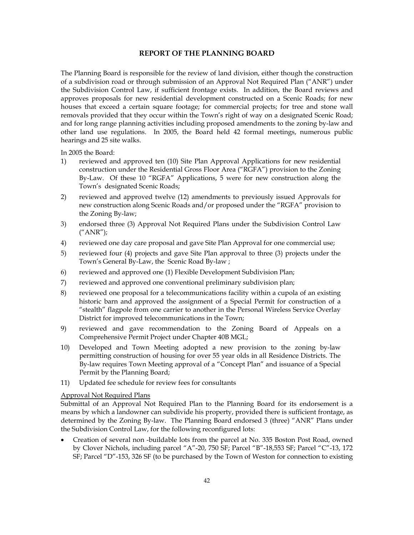### **REPORT OF THE PLANNING BOARD**

The Planning Board is responsible for the review of land division, either though the construction of a subdivision road or through submission of an Approval Not Required Plan ("ANR") under the Subdivision Control Law, if sufficient frontage exists. In addition, the Board reviews and approves proposals for new residential development constructed on a Scenic Roads; for new houses that exceed a certain square footage; for commercial projects; for tree and stone wall removals provided that they occur within the Town's right of way on a designated Scenic Road; and for long range planning activities including proposed amendments to the zoning by-law and other land use regulations. In 2005, the Board held 42 formal meetings, numerous public hearings and 25 site walks.

In 2005 the Board:

- 1) reviewed and approved ten (10) Site Plan Approval Applications for new residential construction under the Residential Gross Floor Area ("RGFA") provision to the Zoning By-Law. Of these 10 "RGFA" Applications, 5 were for new construction along the Town's designated Scenic Roads;
- 2) reviewed and approved twelve (12) amendments to previously issued Approvals for new construction along Scenic Roads and/or proposed under the "RGFA" provision to the Zoning By-law;
- 3) endorsed three (3) Approval Not Required Plans under the Subdivision Control Law ("ANR");
- 4) reviewed one day care proposal and gave Site Plan Approval for one commercial use;
- 5) reviewed four (4) projects and gave Site Plan approval to three (3) projects under the Town's General By-Law, the Scenic Road By-law ;
- 6) reviewed and approved one (1) Flexible Development Subdivision Plan;
- 7) reviewed and approved one conventional preliminary subdivision plan;
- 8) reviewed one proposal for a telecommunications facility within a cupola of an existing historic barn and approved the assignment of a Special Permit for construction of a "stealth" flagpole from one carrier to another in the Personal Wireless Service Overlay District for improved telecommunications in the Town;
- 9) reviewed and gave recommendation to the Zoning Board of Appeals on a Comprehensive Permit Project under Chapter 40B MGL;
- 10) Developed and Town Meeting adopted a new provision to the zoning by-law permitting construction of housing for over 55 year olds in all Residence Districts. The By-law requires Town Meeting approval of a "Concept Plan" and issuance of a Special Permit by the Planning Board;
- 11) Updated fee schedule for review fees for consultants

# Approval Not Required Plans

Submittal of an Approval Not Required Plan to the Planning Board for its endorsement is a means by which a landowner can subdivide his property, provided there is sufficient frontage, as determined by the Zoning By-law. The Planning Board endorsed 3 (three) "ANR" Plans under the Subdivision Control Law, for the following reconfigured lots:

• Creation of several non -buildable lots from the parcel at No. 335 Boston Post Road, owned by Clover Nichols, including parcel "A"-20, 750 SF; Parcel "B"-18,553 SF; Parcel "C"-13, 172 SF; Parcel "D"-153, 326 SF (to be purchased by the Town of Weston for connection to existing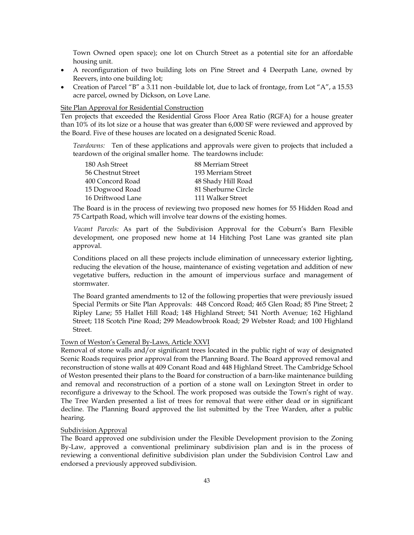Town Owned open space); one lot on Church Street as a potential site for an affordable housing unit.

- A reconfiguration of two building lots on Pine Street and 4 Deerpath Lane, owned by Reevers, into one building lot;
- Creation of Parcel "B" a 3.11 non -buildable lot, due to lack of frontage, from Lot "A", a 15.53 acre parcel, owned by Dickson, on Love Lane.

Site Plan Approval for Residential Construction

Ten projects that exceeded the Residential Gross Floor Area Ratio (RGFA) for a house greater than 10% of its lot size or a house that was greater than 6,000 SF were reviewed and approved by the Board. Five of these houses are located on a designated Scenic Road.

*Teardowns:* Ten of these applications and approvals were given to projects that included a teardown of the original smaller home. The teardowns include:

| 180 Ash Street     | 88 Merriam Street   |
|--------------------|---------------------|
| 56 Chestnut Street | 193 Merriam Street  |
| 400 Concord Road   | 48 Shady Hill Road  |
| 15 Dogwood Road    | 81 Sherburne Circle |
| 16 Driftwood Lane  | 111 Walker Street   |

The Board is in the process of reviewing two proposed new homes for 55 Hidden Road and 75 Cartpath Road, which will involve tear downs of the existing homes.

*Vacant Parcels:* As part of the Subdivision Approval for the Coburn's Barn Flexible development, one proposed new home at 14 Hitching Post Lane was granted site plan approval.

Conditions placed on all these projects include elimination of unnecessary exterior lighting, reducing the elevation of the house, maintenance of existing vegetation and addition of new vegetative buffers, reduction in the amount of impervious surface and management of stormwater.

The Board granted amendments to 12 of the following properties that were previously issued Special Permits or Site Plan Approvals: 448 Concord Road; 465 Glen Road; 85 Pine Street; 2 Ripley Lane; 55 Hallet Hill Road; 148 Highland Street; 541 North Avenue; 162 Highland Street; 118 Scotch Pine Road; 299 Meadowbrook Road; 29 Webster Road; and 100 Highland Street.

#### Town of Weston's General By-Laws, Article XXVI

Removal of stone walls and/or significant trees located in the public right of way of designated Scenic Roads requires prior approval from the Planning Board. The Board approved removal and reconstruction of stone walls at 409 Conant Road and 448 Highland Street. The Cambridge School of Weston presented their plans to the Board for construction of a barn-like maintenance building and removal and reconstruction of a portion of a stone wall on Lexington Street in order to reconfigure a driveway to the School. The work proposed was outside the Town's right of way. The Tree Warden presented a list of trees for removal that were either dead or in significant decline. The Planning Board approved the list submitted by the Tree Warden, after a public hearing.

#### Subdivision Approval

The Board approved one subdivision under the Flexible Development provision to the Zoning By-Law, approved a conventional preliminary subdivision plan and is in the process of reviewing a conventional definitive subdivision plan under the Subdivision Control Law and endorsed a previously approved subdivision.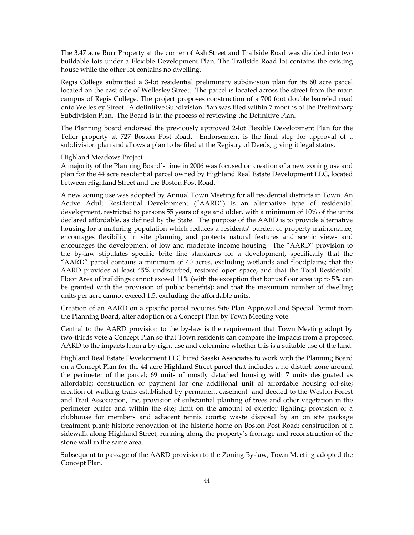The 3.47 acre Burr Property at the corner of Ash Street and Trailside Road was divided into two buildable lots under a Flexible Development Plan. The Trailside Road lot contains the existing house while the other lot contains no dwelling.

Regis College submitted a 3-lot residential preliminary subdivision plan for its 60 acre parcel located on the east side of Wellesley Street. The parcel is located across the street from the main campus of Regis College. The project proposes construction of a 700 foot double barreled road onto Wellesley Street. A definitive Subdivision Plan was filed within 7 months of the Preliminary Subdivision Plan. The Board is in the process of reviewing the Definitive Plan.

The Planning Board endorsed the previously approved 2-lot Flexible Development Plan for the Teller property at 727 Boston Post Road. Endorsement is the final step for approval of a subdivision plan and allows a plan to be filed at the Registry of Deeds, giving it legal status.

#### Highland Meadows Project

A majority of the Planning Board's time in 2006 was focused on creation of a new zoning use and plan for the 44 acre residential parcel owned by Highland Real Estate Development LLC, located between Highland Street and the Boston Post Road.

A new zoning use was adopted by Annual Town Meeting for all residential districts in Town. An Active Adult Residential Development ("AARD") is an alternative type of residential development, restricted to persons 55 years of age and older, with a minimum of 10% of the units declared affordable, as defined by the State. The purpose of the AARD is to provide alternative housing for a maturing population which reduces a residents' burden of property maintenance, encourages flexibility in site planning and protects natural features and scenic views and encourages the development of low and moderate income housing. The "AARD" provision to the by-law stipulates specific brite line standards for a development, specifically that the "AARD" parcel contains a minimum of 40 acres, excluding wetlands and floodplains; that the AARD provides at least 45% undisturbed, restored open space, and that the Total Residential Floor Area of buildings cannot exceed 11% (with the exception that bonus floor area up to 5% can be granted with the provision of public benefits); and that the maximum number of dwelling units per acre cannot exceed 1.5, excluding the affordable units.

Creation of an AARD on a specific parcel requires Site Plan Approval and Special Permit from the Planning Board, after adoption of a Concept Plan by Town Meeting vote.

Central to the AARD provision to the by-law is the requirement that Town Meeting adopt by two-thirds vote a Concept Plan so that Town residents can compare the impacts from a proposed AARD to the impacts from a by-right use and determine whether this is a suitable use of the land.

Highland Real Estate Development LLC hired Sasaki Associates to work with the Planning Board on a Concept Plan for the 44 acre Highland Street parcel that includes a no disturb zone around the perimeter of the parcel; 69 units of mostly detached housing with 7 units designated as affordable; construction or payment for one additional unit of affordable housing off-site; creation of walking trails established by permanent easement and deeded to the Weston Forest and Trail Association, Inc, provision of substantial planting of trees and other vegetation in the perimeter buffer and within the site; limit on the amount of exterior lighting; provision of a clubhouse for members and adjacent tennis courts; waste disposal by an on site package treatment plant; historic renovation of the historic home on Boston Post Road; construction of a sidewalk along Highland Street, running along the property's frontage and reconstruction of the stone wall in the same area.

Subsequent to passage of the AARD provision to the Zoning By-law, Town Meeting adopted the Concept Plan.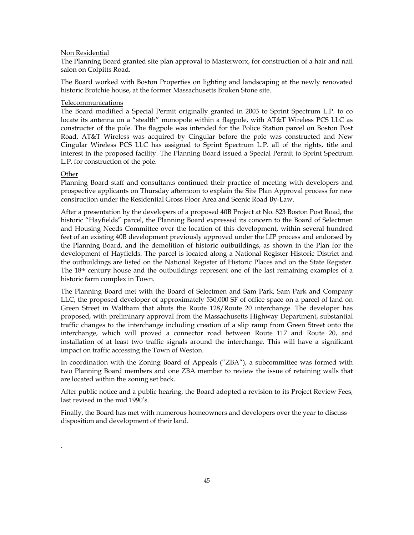### Non Residential

The Planning Board granted site plan approval to Masterworx, for construction of a hair and nail salon on Colpitts Road.

The Board worked with Boston Properties on lighting and landscaping at the newly renovated historic Brotchie house, at the former Massachusetts Broken Stone site.

#### Telecommunications

The Board modified a Special Permit originally granted in 2003 to Sprint Spectrum L.P. to co locate its antenna on a "stealth" monopole within a flagpole, with AT&T Wireless PCS LLC as constructer of the pole. The flagpole was intended for the Police Station parcel on Boston Post Road. AT&T Wireless was acquired by Cingular before the pole was constructed and New Cingular Wireless PCS LLC has assigned to Sprint Spectrum L.P. all of the rights, title and interest in the proposed facility. The Planning Board issued a Special Permit to Sprint Spectrum L.P. for construction of the pole.

#### **Other**

.

Planning Board staff and consultants continued their practice of meeting with developers and prospective applicants on Thursday afternoon to explain the Site Plan Approval process for new construction under the Residential Gross Floor Area and Scenic Road By-Law.

After a presentation by the developers of a proposed 40B Project at No. 823 Boston Post Road, the historic "Hayfields" parcel, the Planning Board expressed its concern to the Board of Selectmen and Housing Needs Committee over the location of this development, within several hundred feet of an existing 40B development previously approved under the LIP process and endorsed by the Planning Board, and the demolition of historic outbuildings, as shown in the Plan for the development of Hayfields. The parcel is located along a National Register Historic District and the outbuildings are listed on the National Register of Historic Places and on the State Register. The 18th century house and the outbuildings represent one of the last remaining examples of a historic farm complex in Town.

The Planning Board met with the Board of Selectmen and Sam Park, Sam Park and Company LLC, the proposed developer of approximately 530,000 SF of office space on a parcel of land on Green Street in Waltham that abuts the Route 128/Route 20 interchange. The developer has proposed, with preliminary approval from the Massachusetts Highway Department, substantial traffic changes to the interchange including creation of a slip ramp from Green Street onto the interchange, which will proved a connector road between Route 117 and Route 20, and installation of at least two traffic signals around the interchange. This will have a significant impact on traffic accessing the Town of Weston.

In coordination with the Zoning Board of Appeals ("ZBA"), a subcommittee was formed with two Planning Board members and one ZBA member to review the issue of retaining walls that are located within the zoning set back.

After public notice and a public hearing, the Board adopted a revision to its Project Review Fees, last revised in the mid 1990's.

Finally, the Board has met with numerous homeowners and developers over the year to discuss disposition and development of their land.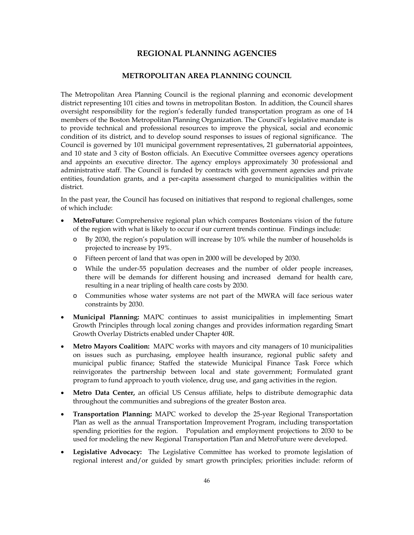# **REGIONAL PLANNING AGENCIES**

# **METROPOLITAN AREA PLANNING COUNCIL**

The Metropolitan Area Planning Council is the regional planning and economic development district representing 101 cities and towns in metropolitan Boston. In addition, the Council shares oversight responsibility for the region's federally funded transportation program as one of 14 members of the Boston Metropolitan Planning Organization. The Council's legislative mandate is to provide technical and professional resources to improve the physical, social and economic condition of its district, and to develop sound responses to issues of regional significance. The Council is governed by 101 municipal government representatives, 21 gubernatorial appointees, and 10 state and 3 city of Boston officials. An Executive Committee oversees agency operations and appoints an executive director. The agency employs approximately 30 professional and administrative staff. The Council is funded by contracts with government agencies and private entities, foundation grants, and a per-capita assessment charged to municipalities within the district.

In the past year, the Council has focused on initiatives that respond to regional challenges, some of which include:

- **MetroFuture:** Comprehensive regional plan which compares Bostonians vision of the future of the region with what is likely to occur if our current trends continue. Findings include:
	- o By 2030, the region's population will increase by 10% while the number of households is projected to increase by 19%.
	- o Fifteen percent of land that was open in 2000 will be developed by 2030.
	- o While the under-55 population decreases and the number of older people increases, there will be demands for different housing and increased demand for health care, resulting in a near tripling of health care costs by 2030.
	- o Communities whose water systems are not part of the MWRA will face serious water constraints by 2030.
- **Municipal Planning:** MAPC continues to assist municipalities in implementing Smart Growth Principles through local zoning changes and provides information regarding Smart Growth Overlay Districts enabled under Chapter 40R.
- **Metro Mayors Coalition:** MAPC works with mayors and city managers of 10 municipalities on issues such as purchasing, employee health insurance, regional public safety and municipal public finance; Staffed the statewide Municipal Finance Task Force which reinvigorates the partnership between local and state government; Formulated grant program to fund approach to youth violence, drug use, and gang activities in the region.
- **Metro Data Center,** an official US Census affiliate, helps to distribute demographic data throughout the communities and subregions of the greater Boston area.
- **Transportation Planning:** MAPC worked to develop the 25-year Regional Transportation Plan as well as the annual Transportation Improvement Program, including transportation spending priorities for the region. Population and employment projections to 2030 to be used for modeling the new Regional Transportation Plan and MetroFuture were developed.
- **Legislative Advocacy:** The Legislative Committee has worked to promote legislation of regional interest and/or guided by smart growth principles; priorities include: reform of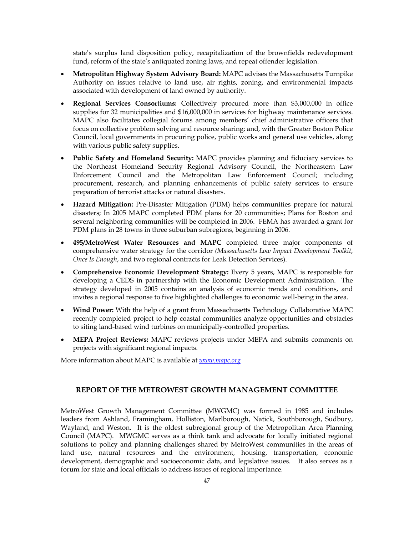state's surplus land disposition policy, recapitalization of the brownfields redevelopment fund, reform of the state's antiquated zoning laws, and repeat offender legislation.

- **Metropolitan Highway System Advisory Board:** MAPC advises the Massachusetts Turnpike Authority on issues relative to land use, air rights, zoning, and environmental impacts associated with development of land owned by authority.
- **Regional Services Consortiums:** Collectively procured more than \$3,000,000 in office supplies for 32 municipalities and \$16,000,000 in services for highway maintenance services. MAPC also facilitates collegial forums among members' chief administrative officers that focus on collective problem solving and resource sharing; and, with the Greater Boston Police Council, local governments in procuring police, public works and general use vehicles, along with various public safety supplies.
- **Public Safety and Homeland Security:** MAPC provides planning and fiduciary services to the Northeast Homeland Security Regional Advisory Council, the Northeastern Law Enforcement Council and the Metropolitan Law Enforcement Council; including procurement, research, and planning enhancements of public safety services to ensure preparation of terrorist attacks or natural disasters.
- **Hazard Mitigation:** Pre-Disaster Mitigation (PDM) helps communities prepare for natural disasters; In 2005 MAPC completed PDM plans for 20 communities; Plans for Boston and several neighboring communities will be completed in 2006. FEMA has awarded a grant for PDM plans in 28 towns in three suburban subregions, beginning in 2006.
- **495/MetroWest Water Resources and MAPC** completed three major components of comprehensive water strategy for the corridor *(Massachusetts Low Impact Development Toolkit*, *Once Is Enough*, and two regional contracts for Leak Detection Services).
- **Comprehensive Economic Development Strategy:** Every 5 years, MAPC is responsible for developing a CEDS in partnership with the Economic Development Administration. The strategy developed in 2005 contains an analysis of economic trends and conditions, and invites a regional response to five highlighted challenges to economic well-being in the area.
- **Wind Power:** With the help of a grant from Massachusetts Technology Collaborative MAPC recently completed project to help coastal communities analyze opportunities and obstacles to siting land-based wind turbines on municipally-controlled properties.
- **MEPA Project Reviews:** MAPC reviews projects under MEPA and submits comments on projects with significant regional impacts.

More information about MAPC is available at *www.mapc.org*

# **REPORT OF THE METROWEST GROWTH MANAGEMENT COMMITTEE**

MetroWest Growth Management Committee (MWGMC) was formed in 1985 and includes leaders from Ashland, Framingham, Holliston, Marlborough, Natick, Southborough, Sudbury, Wayland, and Weston. It is the oldest subregional group of the Metropolitan Area Planning Council (MAPC). MWGMC serves as a think tank and advocate for locally initiated regional solutions to policy and planning challenges shared by MetroWest communities in the areas of land use, natural resources and the environment, housing, transportation, economic development, demographic and socioeconomic data, and legislative issues. It also serves as a forum for state and local officials to address issues of regional importance.